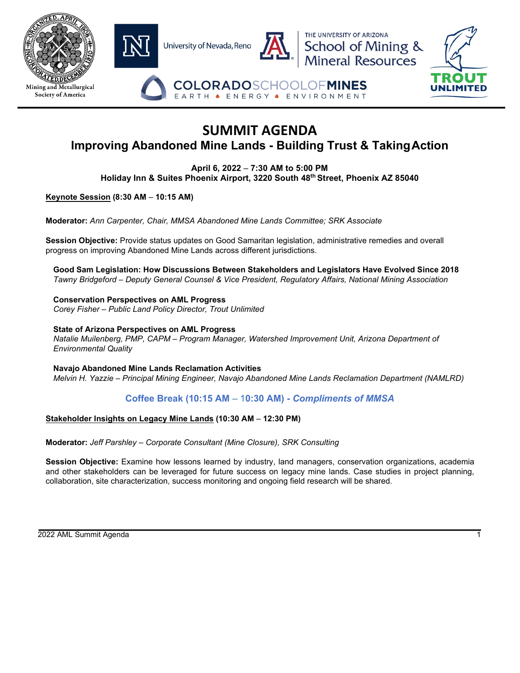

# **SUMMIT AGENDA Improving Abandoned Mine Lands - Building Trust & TakingAction**

**April 6, 2022** – **7:30 AM to 5:00 PM Holiday Inn & Suites Phoenix Airport, 3220 South 48th Street, Phoenix AZ 85040**

**Keynote Session (8:30 AM** – **10:15 AM)**

**Moderator:** *Ann Carpenter, Chair, MMSA Abandoned Mine Lands Committee; SRK Associate*

**Session Objective:** Provide status updates on Good Samaritan legislation, administrative remedies and overall progress on improving Abandoned Mine Lands across different jurisdictions.

**Good Sam Legislation: How Discussions Between Stakeholders and Legislators Have Evolved Since 2018** *Tawny Bridgeford – Deputy General Counsel & Vice President, Regulatory Affairs, National Mining Association*

**Conservation Perspectives on AML Progress** *Corey Fisher – Public Land Policy Director, Trout Unlimited*

**State of Arizona Perspectives on AML Progress** *Natalie Muilenberg, PMP, CAPM – Program Manager, Watershed Improvement Unit, Arizona Department of Environmental Quality*

**Navajo Abandoned Mine Lands Reclamation Activities** *Melvin H. Yazzie – Principal Mining Engineer, Navajo Abandoned Mine Lands Reclamation Department (NAMLRD)*

**Coffee Break (10:15 AM** – 1**0:30 AM) -** *Compliments of MMSA*

#### **Stakeholder Insights on Legacy Mine Lands (10:30 AM** – **12:30 PM)**

**Moderator:** *Jeff Parshley – Corporate Consultant (Mine Closure), SRK Consulting*

**Session Objective:** Examine how lessons learned by industry, land managers, conservation organizations, academia and other stakeholders can be leveraged for future success on legacy mine lands. Case studies in project planning, collaboration, site characterization, success monitoring and ongoing field research will be shared.

2022 AML Summit Agenda 1